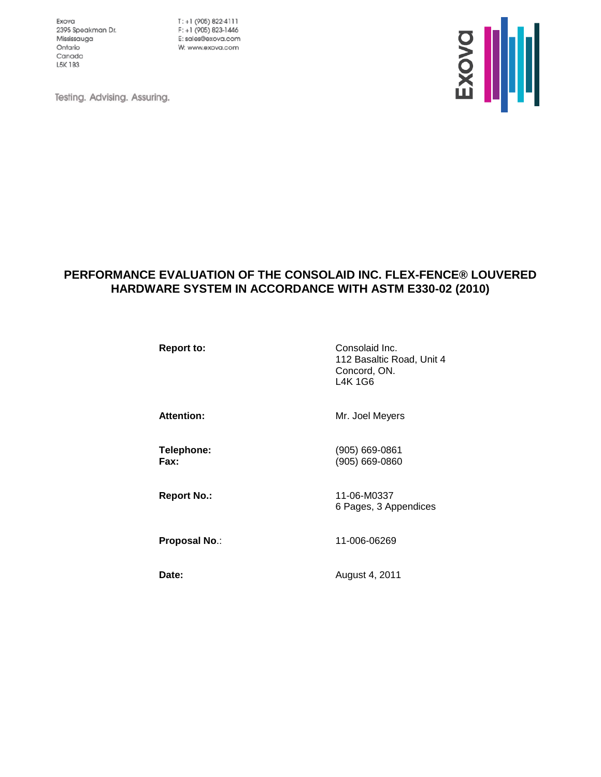Exova 2395 Speakman Dr. Mississauga Ontario Canada L5K 1B3

 $T: +1$  (905) 822-4111 F: +1 (905) 823-1446 E: sales@exova.com W: www.exova.com



Testing. Advising. Assuring.

# **PERFORMANCE EVALUATION OF THE CONSOLAID INC. FLEX-FENCE® LOUVERED HARDWARE SYSTEM IN ACCORDANCE WITH ASTM E330-02 (2010)**

**Report to:** Consolaid Inc. 112 Basaltic Road, Unit 4 Concord, ON. L4K 1G6

Attention: Mr. Joel Meyers

**Telephone:** (905) 669-0861 **Fax:** (905) 669-0860

**Report No.:** 11-06-M0337 6 Pages, 3 Appendices

**Proposal No**.: 11-006-06269

**Date:** August 4, 2011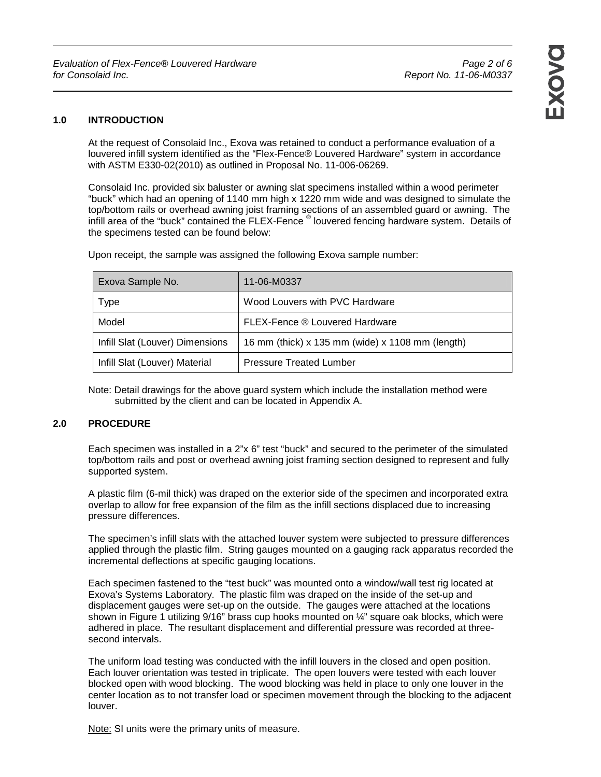### **1.0 INTRODUCTION**

At the request of Consolaid Inc., Exova was retained to conduct a performance evaluation of a louvered infill system identified as the "Flex-Fence® Louvered Hardware" system in accordance with ASTM E330-02(2010) as outlined in Proposal No. 11-006-06269.

Consolaid Inc. provided six baluster or awning slat specimens installed within a wood perimeter "buck" which had an opening of 1140 mm high x 1220 mm wide and was designed to simulate the top/bottom rails or overhead awning joist framing sections of an assembled guard or awning. The infill area of the "buck" contained the FLEX-Fence ® louvered fencing hardware system. Details of the specimens tested can be found below:

Upon receipt, the sample was assigned the following Exova sample number:

| Exova Sample No.                | 11-06-M0337                                      |
|---------------------------------|--------------------------------------------------|
| Type                            | Wood Louvers with PVC Hardware                   |
| Model                           | FLEX-Fence ® Louvered Hardware                   |
| Infill Slat (Louver) Dimensions | 16 mm (thick) x 135 mm (wide) x 1108 mm (length) |
| Infill Slat (Louver) Material   | <b>Pressure Treated Lumber</b>                   |

#### Note: Detail drawings for the above guard system which include the installation method were submitted by the client and can be located in Appendix A.

#### **2.0 PROCEDURE**

Each specimen was installed in a 2"x 6" test "buck" and secured to the perimeter of the simulated top/bottom rails and post or overhead awning joist framing section designed to represent and fully supported system.

A plastic film (6-mil thick) was draped on the exterior side of the specimen and incorporated extra overlap to allow for free expansion of the film as the infill sections displaced due to increasing pressure differences.

The specimen's infill slats with the attached louver system were subjected to pressure differences applied through the plastic film. String gauges mounted on a gauging rack apparatus recorded the incremental deflections at specific gauging locations.

Each specimen fastened to the "test buck" was mounted onto a window/wall test rig located at Exova's Systems Laboratory. The plastic film was draped on the inside of the set-up and displacement gauges were set-up on the outside. The gauges were attached at the locations shown in Figure 1 utilizing  $9/16$ " brass cup hooks mounted on  $\frac{1}{4}$ " square oak blocks, which were adhered in place. The resultant displacement and differential pressure was recorded at threesecond intervals.

The uniform load testing was conducted with the infill louvers in the closed and open position. Each louver orientation was tested in triplicate. The open louvers were tested with each louver blocked open with wood blocking. The wood blocking was held in place to only one louver in the center location as to not transfer load or specimen movement through the blocking to the adjacent louver.

Note: SI units were the primary units of measure.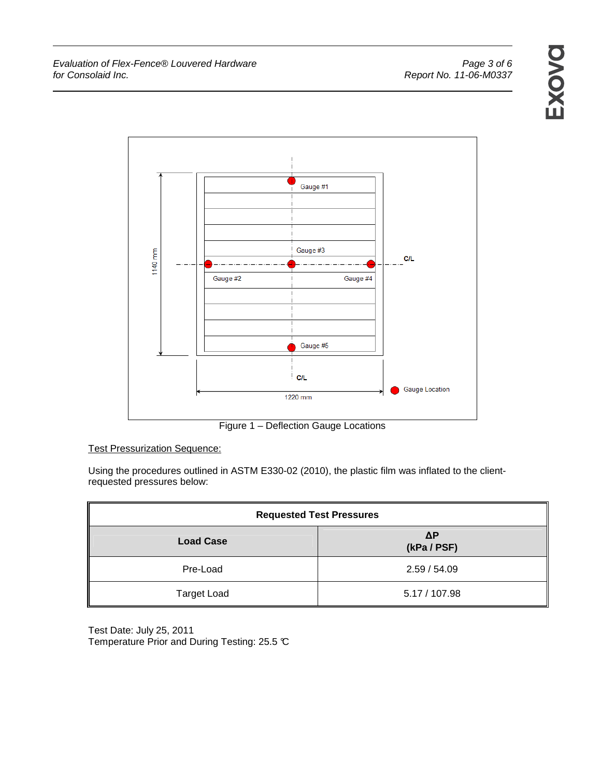EXOVO



Figure 1 – Deflection Gauge Locations

Test Pressurization Sequence:

Using the procedures outlined in ASTM E330-02 (2010), the plastic film was inflated to the clientrequested pressures below:

| <b>Requested Test Pressures</b> |                           |  |  |  |  |
|---------------------------------|---------------------------|--|--|--|--|
| <b>Load Case</b>                | $\Delta P$<br>(kPa / PSF) |  |  |  |  |
| Pre-Load                        | 2.59/54.09                |  |  |  |  |
| <b>Target Load</b>              | 5.17 / 107.98             |  |  |  |  |

Test Date: July 25, 2011 Temperature Prior and During Testing: 25.5 °C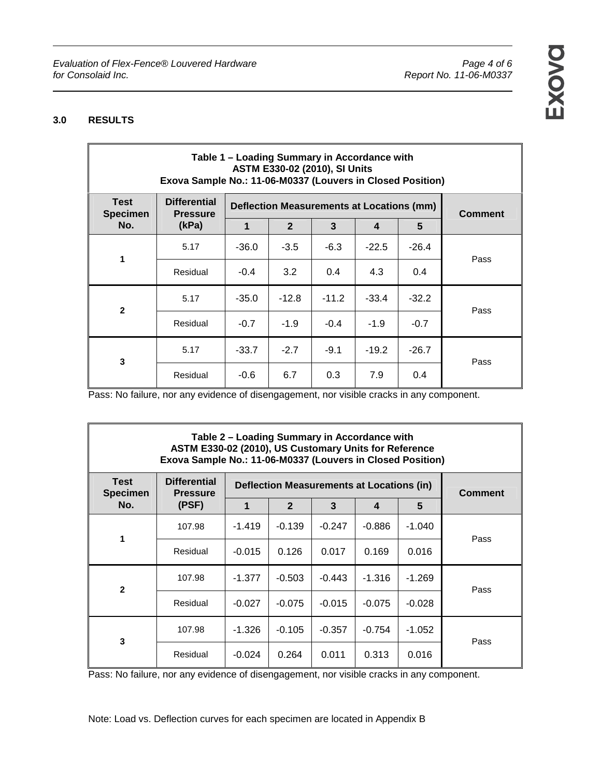## **3.0 RESULTS**

| Table 1 - Loading Summary in Accordance with<br>ASTM E330-02 (2010), SI Units<br>Exova Sample No.: 11-06-M0337 (Louvers in Closed Position) |                                        |                                                  |                |         |         |         |      |  |
|---------------------------------------------------------------------------------------------------------------------------------------------|----------------------------------------|--------------------------------------------------|----------------|---------|---------|---------|------|--|
| <b>Test</b><br><b>Specimen</b>                                                                                                              | <b>Differential</b><br><b>Pressure</b> | <b>Deflection Measurements at Locations (mm)</b> | <b>Comment</b> |         |         |         |      |  |
| No.                                                                                                                                         | (kPa)                                  | 1                                                | $\overline{2}$ | 3       | 4       | 5       |      |  |
| 1                                                                                                                                           | 5.17                                   | $-36.0$                                          | $-3.5$         | $-6.3$  | $-22.5$ | $-26.4$ | Pass |  |
|                                                                                                                                             | Residual                               | $-0.4$                                           | 3.2            | 0.4     | 4.3     | 0.4     |      |  |
| $\mathbf{2}$                                                                                                                                | 5.17                                   | $-35.0$                                          | $-12.8$        | $-11.2$ | $-33.4$ | $-32.2$ | Pass |  |
|                                                                                                                                             | Residual                               | $-0.7$                                           | $-1.9$         | $-0.4$  | $-1.9$  | $-0.7$  |      |  |
| 3                                                                                                                                           | 5.17                                   | $-33.7$                                          | $-2.7$         | $-9.1$  | $-19.2$ | $-26.7$ | Pass |  |
|                                                                                                                                             | Residual                               | -0.6                                             | 6.7            | 0.3     | 7.9     | 0.4     |      |  |

Pass: No failure, nor any evidence of disengagement, nor visible cracks in any component.

### **Table 2 – Loading Summary in Accordance with ASTM E330-02 (2010), US Customary Units for Reference Exova Sample No.: 11-06-M0337 (Louvers in Closed Position)**

| <b>Test</b><br><b>Specimen</b> | <b>Differential</b><br><b>Pressure</b><br>(PSF) | <b>Deflection Measurements at Locations (in)</b> | <b>Comment</b> |          |                  |          |      |
|--------------------------------|-------------------------------------------------|--------------------------------------------------|----------------|----------|------------------|----------|------|
| No.                            |                                                 | 1                                                | $\overline{2}$ | 3        | $\boldsymbol{4}$ | 5        |      |
| 1                              | 107.98                                          | $-1.419$                                         | $-0.139$       | $-0.247$ | $-0.886$         | $-1.040$ | Pass |
|                                | Residual                                        | $-0.015$                                         | 0.126          | 0.017    | 0.169            | 0.016    |      |
| $\overline{2}$                 | 107.98                                          | $-1.377$                                         | $-0.503$       | $-0.443$ | $-1.316$         | $-1.269$ | Pass |
|                                | Residual                                        | $-0.027$                                         | $-0.075$       | $-0.015$ | $-0.075$         | $-0.028$ |      |
| 3                              | 107.98                                          | $-1.326$                                         | $-0.105$       | $-0.357$ | $-0.754$         | $-1.052$ | Pass |
|                                | Residual                                        | $-0.024$                                         | 0.264          | 0.011    | 0.313            | 0.016    |      |

Pass: No failure, nor any evidence of disengagement, nor visible cracks in any component.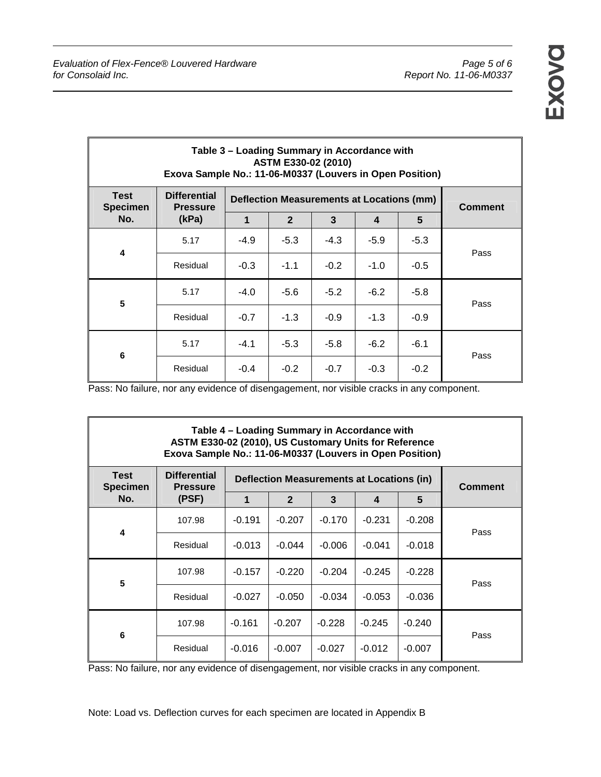| Table 3 – Loading Summary in Accordance with<br>ASTM E330-02 (2010)<br>Exova Sample No.: 11-06-M0337 (Louvers in Open Position) |                                        |                                           |                |        |                  |                 |      |  |
|---------------------------------------------------------------------------------------------------------------------------------|----------------------------------------|-------------------------------------------|----------------|--------|------------------|-----------------|------|--|
| <b>Test</b><br><b>Specimen</b>                                                                                                  | <b>Differential</b><br><b>Pressure</b> | Deflection Measurements at Locations (mm) | <b>Comment</b> |        |                  |                 |      |  |
| No.                                                                                                                             | (kPa)                                  | 1                                         | $\overline{2}$ | 3      | $\boldsymbol{4}$ | $5\phantom{.0}$ |      |  |
| 4                                                                                                                               | 5.17                                   | $-4.9$                                    | $-5.3$         | $-4.3$ | $-5.9$           | $-5.3$          | Pass |  |
|                                                                                                                                 | Residual                               | $-0.3$                                    | $-1.1$         | $-0.2$ | $-1.0$           | $-0.5$          |      |  |
| $5\phantom{1}$                                                                                                                  | 5.17                                   | $-4.0$                                    | $-5.6$         | $-5.2$ | $-6.2$           | $-5.8$          | Pass |  |
|                                                                                                                                 | Residual                               | $-0.7$                                    | $-1.3$         | $-0.9$ | $-1.3$           | $-0.9$          |      |  |
| 6                                                                                                                               | 5.17                                   | $-4.1$                                    | $-5.3$         | $-5.8$ | $-6.2$           | $-6.1$          | Pass |  |
|                                                                                                                                 | Residual                               | $-0.4$                                    | $-0.2$         | $-0.7$ | $-0.3$           | $-0.2$          |      |  |

Pass: No failure, nor any evidence of disengagement, nor visible cracks in any component.

| Table 4 – Loading Summary in Accordance with<br>ASTM E330-02 (2010), US Customary Units for Reference<br>Exova Sample No.: 11-06-M0337 (Louvers in Open Position) |                                        |                                           |                |          |          |          |      |  |
|-------------------------------------------------------------------------------------------------------------------------------------------------------------------|----------------------------------------|-------------------------------------------|----------------|----------|----------|----------|------|--|
| <b>Test</b><br><b>Specimen</b>                                                                                                                                    | <b>Differential</b><br><b>Pressure</b> | Deflection Measurements at Locations (in) | <b>Comment</b> |          |          |          |      |  |
| No.                                                                                                                                                               | (PSF)                                  | 1                                         | $\overline{2}$ | 3        | 4        | 5        |      |  |
| 4                                                                                                                                                                 | 107.98                                 | $-0.191$                                  | $-0.207$       | $-0.170$ | $-0.231$ | $-0.208$ | Pass |  |
|                                                                                                                                                                   | Residual                               | $-0.013$                                  | $-0.044$       | $-0.006$ | $-0.041$ | $-0.018$ |      |  |
| 5                                                                                                                                                                 | 107.98                                 | $-0.157$                                  | $-0.220$       | $-0.204$ | $-0.245$ | $-0.228$ | Pass |  |
|                                                                                                                                                                   | Residual                               | $-0.027$                                  | $-0.050$       | $-0.034$ | $-0.053$ | $-0.036$ |      |  |
| 6                                                                                                                                                                 | 107.98                                 | $-0.161$                                  | $-0.207$       | $-0.228$ | $-0.245$ | $-0.240$ | Pass |  |
|                                                                                                                                                                   | Residual                               | $-0.016$                                  | $-0.007$       | $-0.027$ | $-0.012$ | $-0.007$ |      |  |

Pass: No failure, nor any evidence of disengagement, nor visible cracks in any component.

Note: Load vs. Deflection curves for each specimen are located in Appendix B